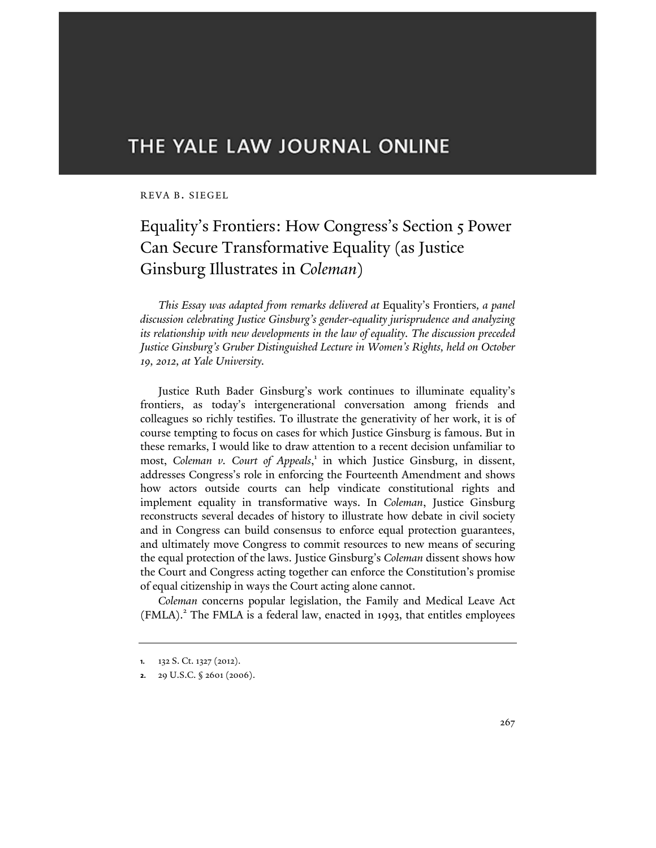# THE YALE LAW JOURNAL ONLINE

## REVA B. SIEGEL

## Equality's Frontiers: How Congress's Section 5 Power Can Secure Transformative Equality (as Justice Ginsburg Illustrates in *Coleman*)

*This Essay was adapted from remarks delivered at* Equality's Frontiers*, a panel discussion celebrating Justice Ginsburg's gender-equality jurisprudence and analyzing its relationship with new developments in the law of equality. The discussion preceded Justice Ginsburg's Gruber Distinguished Lecture in Women's Rights, held on October 19, 2012, at Yale University.*

Justice Ruth Bader Ginsburg's work continues to illuminate equality's frontiers, as today's intergenerational conversation among friends and colleagues so richly testifies. To illustrate the generativity of her work, it is of course tempting to focus on cases for which Justice Ginsburg is famous. But in these remarks, I would like to draw attention to a recent decision unfamiliar to most, Coleman v. Court of Appeals,<sup>1</sup> in which Justice Ginsburg, in dissent, addresses Congress's role in enforcing the Fourteenth Amendment and shows how actors outside courts can help vindicate constitutional rights and implement equality in transformative ways. In *Coleman*, Justice Ginsburg reconstructs several decades of history to illustrate how debate in civil society and in Congress can build consensus to enforce equal protection guarantees, and ultimately move Congress to commit resources to new means of securing the equal protection of the laws. Justice Ginsburg's *Coleman* dissent shows how the Court and Congress acting together can enforce the Constitution's promise of equal citizenship in ways the Court acting alone cannot.

*Coleman* concerns popular legislation, the Family and Medical Leave Act (FMLA).<sup>2</sup> The FMLA is a federal law, enacted in 1993, that entitles employees

**<sup>1.</sup>** 132 S. Ct. 1327 (2012).

**<sup>2.</sup>** 29 U.S.C. § 2601 (2006).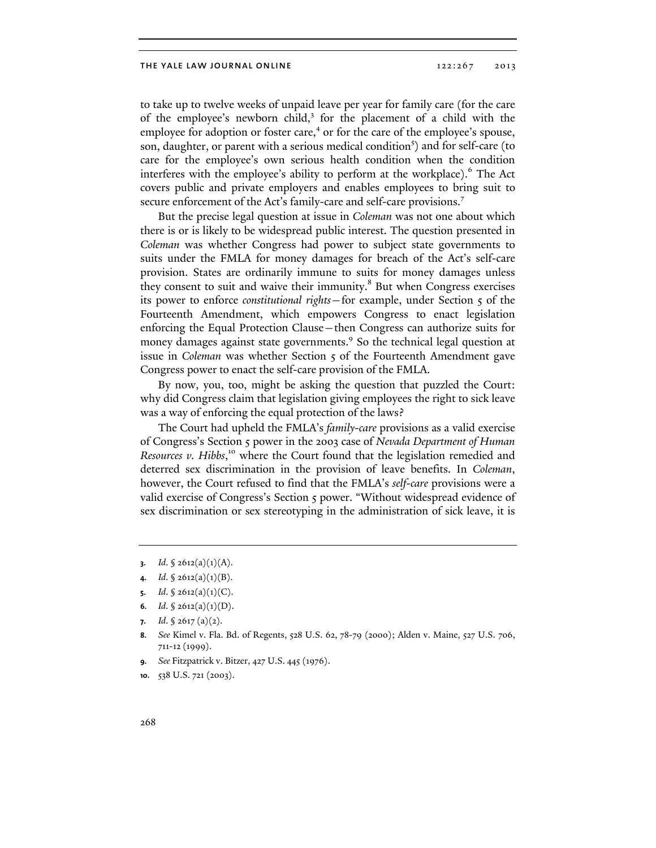#### THE YALE LAW JOURNAL ONLINE 122:267 2013

to take up to twelve weeks of unpaid leave per year for family care (for the care of the employee's newborn child,<sup>3</sup> for the placement of a child with the employee for adoption or foster care,<sup>4</sup> or for the care of the employee's spouse, son, daughter, or parent with a serious medical condition<sup>5</sup>) and for self-care (to care for the employee's own serious health condition when the condition interferes with the employee's ability to perform at the workplace).<sup>6</sup> The Act covers public and private employers and enables employees to bring suit to secure enforcement of the Act's family-care and self-care provisions.<sup>7</sup>

But the precise legal question at issue in *Coleman* was not one about which there is or is likely to be widespread public interest. The question presented in *Coleman* was whether Congress had power to subject state governments to suits under the FMLA for money damages for breach of the Act's self-care provision. States are ordinarily immune to suits for money damages unless they consent to suit and waive their immunity.<sup>8</sup> But when Congress exercises its power to enforce *constitutional rights*—for example, under Section 5 of the Fourteenth Amendment, which empowers Congress to enact legislation enforcing the Equal Protection Clause—then Congress can authorize suits for money damages against state governments.<sup>9</sup> So the technical legal question at issue in *Coleman* was whether Section 5 of the Fourteenth Amendment gave Congress power to enact the self-care provision of the FMLA.

By now, you, too, might be asking the question that puzzled the Court: why did Congress claim that legislation giving employees the right to sick leave was a way of enforcing the equal protection of the laws?

The Court had upheld the FMLA's *family-care* provisions as a valid exercise of Congress's Section 5 power in the 2003 case of *Nevada Department of Human Resources v. Hibbs*, 10 where the Court found that the legislation remedied and deterred sex discrimination in the provision of leave benefits. In *Coleman*, however, the Court refused to find that the FMLA's *self-care* provisions were a valid exercise of Congress's Section 5 power. "Without widespread evidence of sex discrimination or sex stereotyping in the administration of sick leave, it is

- **6.** *Id.* § 2612(a)(1)(D).
- **7.** *Id*. § 2617 (a)(2).
- **8.** *See* Kimel v. Fla. Bd. of Regents, 528 U.S. 62, 78-79 (2000); Alden v. Maine, 527 U.S. 706, 711-12 (1999).
- **9.** *See* Fitzpatrick v. Bitzer, 427 U.S. 445 (1976).
- **10.** 538 U.S. 721 (2003).

*Id.* § 2612(a)(1)(A).

*Id.*  $\oint$  2612(a)(1)(B).

**<sup>5.</sup>** *Id.* § 2612(a)(1)(C).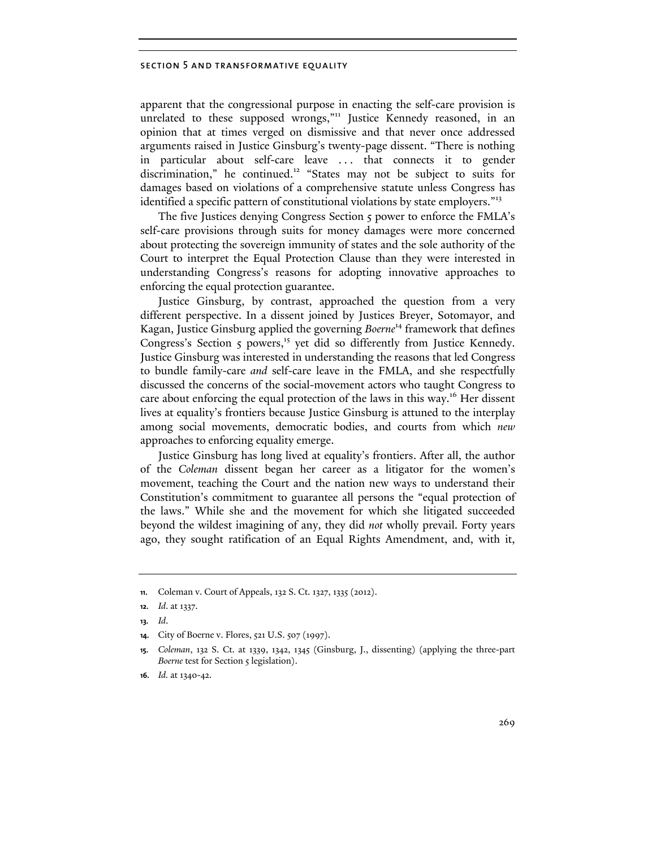## section 5 and transformative equality

apparent that the congressional purpose in enacting the self-care provision is unrelated to these supposed wrongs,"<sup>11</sup> Justice Kennedy reasoned, in an opinion that at times verged on dismissive and that never once addressed arguments raised in Justice Ginsburg's twenty-page dissent. "There is nothing in particular about self-care leave . . . that connects it to gender discrimination," he continued.<sup>12</sup> "States may not be subject to suits for damages based on violations of a comprehensive statute unless Congress has identified a specific pattern of constitutional violations by state employers."<sup>13</sup>

The five Justices denying Congress Section 5 power to enforce the FMLA's self-care provisions through suits for money damages were more concerned about protecting the sovereign immunity of states and the sole authority of the Court to interpret the Equal Protection Clause than they were interested in understanding Congress's reasons for adopting innovative approaches to enforcing the equal protection guarantee.

Justice Ginsburg, by contrast, approached the question from a very different perspective. In a dissent joined by Justices Breyer, Sotomayor, and Kagan, Justice Ginsburg applied the governing *Boerne*14 framework that defines Congress's Section 5 powers,<sup>15</sup> yet did so differently from Justice Kennedy. Justice Ginsburg was interested in understanding the reasons that led Congress to bundle family-care *and* self-care leave in the FMLA, and she respectfully discussed the concerns of the social-movement actors who taught Congress to care about enforcing the equal protection of the laws in this way.<sup>16</sup> Her dissent lives at equality's frontiers because Justice Ginsburg is attuned to the interplay among social movements, democratic bodies, and courts from which *new*  approaches to enforcing equality emerge.

Justice Ginsburg has long lived at equality's frontiers. After all, the author of the *Coleman* dissent began her career as a litigator for the women's movement, teaching the Court and the nation new ways to understand their Constitution's commitment to guarantee all persons the "equal protection of the laws." While she and the movement for which she litigated succeeded beyond the wildest imagining of any, they did *not* wholly prevail. Forty years ago, they sought ratification of an Equal Rights Amendment, and, with it,

**<sup>11.</sup>** Coleman v. Court of Appeals, 132 S. Ct. 1327, 1335 (2012).

**<sup>12.</sup>** *Id*. at 1337.

**<sup>13.</sup>** *Id*.

**<sup>14.</sup>** City of Boerne v. Flores, 521 U.S. 507 (1997).

**<sup>15.</sup>** *Coleman*, 132 S. Ct. at 1339, 1342, 1345 (Ginsburg, J., dissenting) (applying the three-part *Boerne* test for Section 5 legislation).

**<sup>16.</sup>** *Id.* at 1340-42.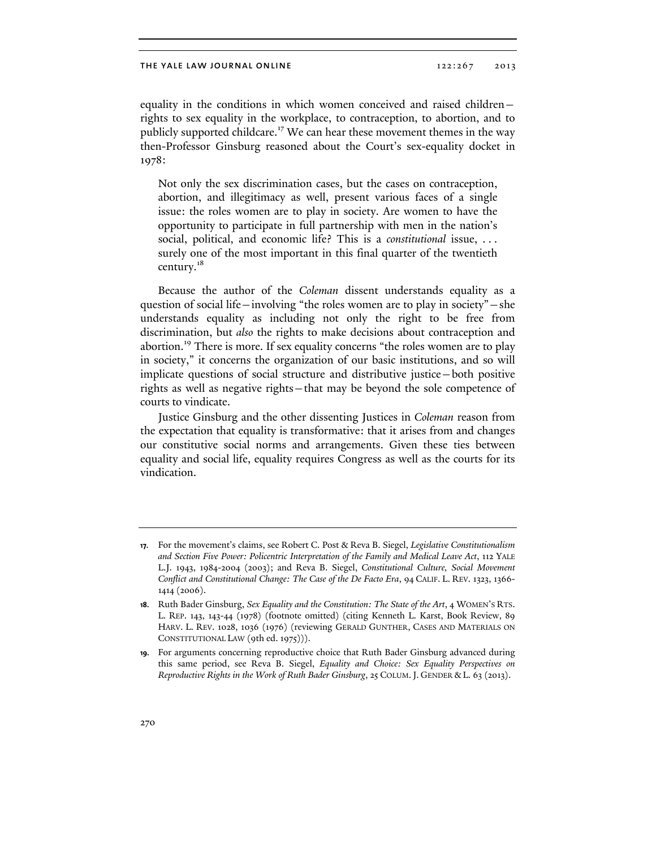equality in the conditions in which women conceived and raised children rights to sex equality in the workplace, to contraception, to abortion, and to publicly supported childcare.<sup>17</sup> We can hear these movement themes in the way then-Professor Ginsburg reasoned about the Court's sex-equality docket in 1978:

Not only the sex discrimination cases, but the cases on contraception, abortion, and illegitimacy as well, present various faces of a single issue: the roles women are to play in society. Are women to have the opportunity to participate in full partnership with men in the nation's social, political, and economic life? This is a *constitutional* issue, . . . surely one of the most important in this final quarter of the twentieth century.<sup>18</sup>

Because the author of the *Coleman* dissent understands equality as a question of social life—involving "the roles women are to play in society"—she understands equality as including not only the right to be free from discrimination, but *also* the rights to make decisions about contraception and abortion.<sup>19</sup> There is more. If sex equality concerns "the roles women are to play in society," it concerns the organization of our basic institutions, and so will implicate questions of social structure and distributive justice—both positive rights as well as negative rights—that may be beyond the sole competence of courts to vindicate.

Justice Ginsburg and the other dissenting Justices in *Coleman* reason from the expectation that equality is transformative: that it arises from and changes our constitutive social norms and arrangements. Given these ties between equality and social life, equality requires Congress as well as the courts for its vindication.

**<sup>17.</sup>** For the movement's claims, see Robert C. Post & Reva B. Siegel, *Legislative Constitutionalism and Section Five Power: Policentric Interpretation of the Family and Medical Leave Act*, 112 YALE L.J. 1943, 1984-2004 (2003); and Reva B. Siegel, *Constitutional Culture, Social Movement Conflict and Constitutional Change: The Case of the De Facto Era*, 94 CALIF. L. REV. 1323, 1366- 1414 (2006).

**<sup>18.</sup>** Ruth Bader Ginsburg, *Sex Equality and the Constitution: The State of the Art*, 4 WOMEN'S RTS. L. REP. 143, 143-44 (1978) (footnote omitted) (citing Kenneth L. Karst, Book Review, 89 HARV. L. REV. 1028, 1036 (1976) (reviewing GERALD GUNTHER, CASES AND MATERIALS ON CONSTITUTIONAL LAW (9th ed. 1975))).

**<sup>19.</sup>** For arguments concerning reproductive choice that Ruth Bader Ginsburg advanced during this same period, see Reva B. Siegel, *Equality and Choice: Sex Equality Perspectives on Reproductive Rights in the Work of Ruth Bader Ginsburg*, 25 COLUM.J. GENDER & L. 63 (2013).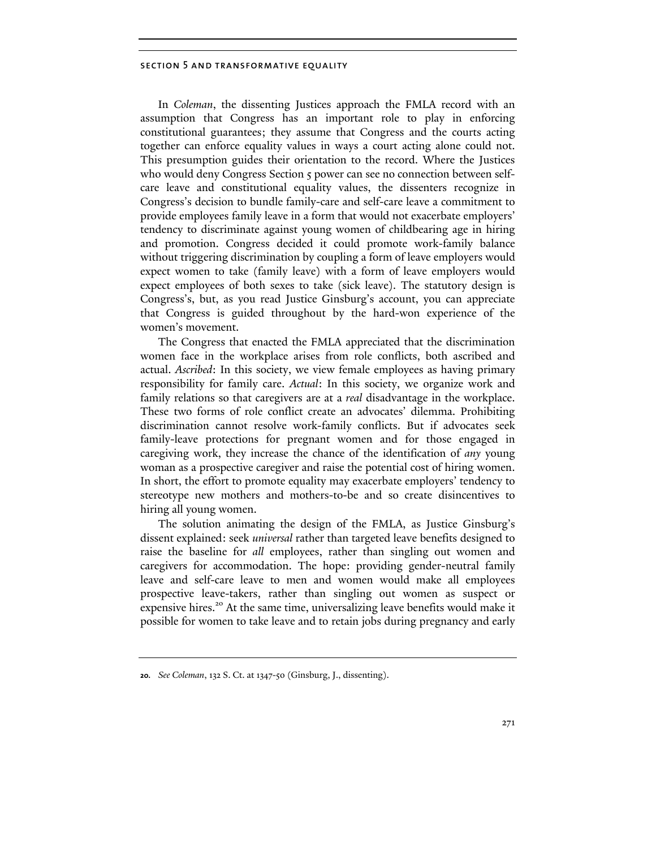### section 5 and transformative equality

In *Coleman*, the dissenting Justices approach the FMLA record with an assumption that Congress has an important role to play in enforcing constitutional guarantees; they assume that Congress and the courts acting together can enforce equality values in ways a court acting alone could not. This presumption guides their orientation to the record. Where the Justices who would deny Congress Section 5 power can see no connection between selfcare leave and constitutional equality values, the dissenters recognize in Congress's decision to bundle family-care and self-care leave a commitment to provide employees family leave in a form that would not exacerbate employers' tendency to discriminate against young women of childbearing age in hiring and promotion. Congress decided it could promote work-family balance without triggering discrimination by coupling a form of leave employers would expect women to take (family leave) with a form of leave employers would expect employees of both sexes to take (sick leave). The statutory design is Congress's, but, as you read Justice Ginsburg's account, you can appreciate that Congress is guided throughout by the hard-won experience of the women's movement.

The Congress that enacted the FMLA appreciated that the discrimination women face in the workplace arises from role conflicts, both ascribed and actual. *Ascribed*: In this society, we view female employees as having primary responsibility for family care. *Actual*: In this society, we organize work and family relations so that caregivers are at a *real* disadvantage in the workplace. These two forms of role conflict create an advocates' dilemma. Prohibiting discrimination cannot resolve work-family conflicts. But if advocates seek family-leave protections for pregnant women and for those engaged in caregiving work, they increase the chance of the identification of *any* young woman as a prospective caregiver and raise the potential cost of hiring women. In short, the effort to promote equality may exacerbate employers' tendency to stereotype new mothers and mothers-to-be and so create disincentives to hiring all young women.

The solution animating the design of the FMLA, as Justice Ginsburg's dissent explained: seek *universal* rather than targeted leave benefits designed to raise the baseline for *all* employees, rather than singling out women and caregivers for accommodation. The hope: providing gender-neutral family leave and self-care leave to men and women would make all employees prospective leave-takers, rather than singling out women as suspect or expensive hires.<sup>20</sup> At the same time, universalizing leave benefits would make it possible for women to take leave and to retain jobs during pregnancy and early

**<sup>20.</sup>** *See Coleman*, 132 S. Ct. at 1347-50 (Ginsburg, J., dissenting).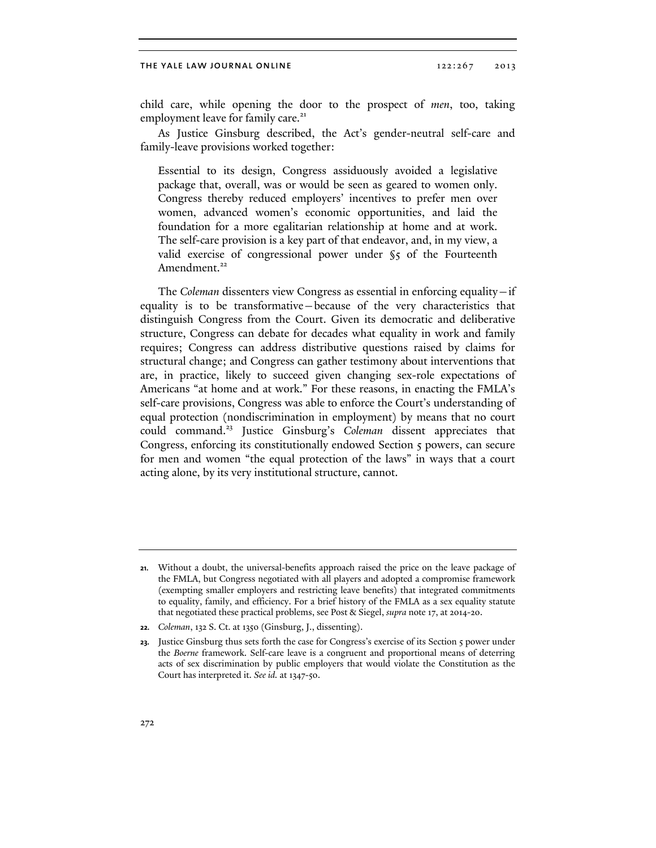#### THE YALE LAW JOURNAL ONLINE 122:267 2013

child care, while opening the door to the prospect of *men*, too, taking employment leave for family care.<sup>21</sup>

As Justice Ginsburg described, the Act's gender-neutral self-care and family-leave provisions worked together:

Essential to its design, Congress assiduously avoided a legislative package that, overall, was or would be seen as geared to women only. Congress thereby reduced employers' incentives to prefer men over women, advanced women's economic opportunities, and laid the foundation for a more egalitarian relationship at home and at work. The self-care provision is a key part of that endeavor, and, in my view, a valid exercise of congressional power under §5 of the Fourteenth Amendment.<sup>22</sup>

The *Coleman* dissenters view Congress as essential in enforcing equality—if equality is to be transformative—because of the very characteristics that distinguish Congress from the Court. Given its democratic and deliberative structure, Congress can debate for decades what equality in work and family requires; Congress can address distributive questions raised by claims for structural change; and Congress can gather testimony about interventions that are, in practice, likely to succeed given changing sex-role expectations of Americans "at home and at work." For these reasons, in enacting the FMLA's self-care provisions, Congress was able to enforce the Court's understanding of equal protection (nondiscrimination in employment) by means that no court could command.23 Justice Ginsburg's *Coleman* dissent appreciates that Congress, enforcing its constitutionally endowed Section 5 powers, can secure for men and women "the equal protection of the laws" in ways that a court acting alone, by its very institutional structure, cannot.

**<sup>21.</sup>** Without a doubt, the universal-benefits approach raised the price on the leave package of the FMLA, but Congress negotiated with all players and adopted a compromise framework (exempting smaller employers and restricting leave benefits) that integrated commitments to equality, family, and efficiency. For a brief history of the FMLA as a sex equality statute that negotiated these practical problems, see Post & Siegel, *supra* note 17, at 2014-20.

**<sup>22.</sup>** *Coleman*, 132 S. Ct. at 1350 (Ginsburg, J., dissenting).

<sup>23.</sup> Justice Ginsburg thus sets forth the case for Congress's exercise of its Section 5 power under the *Boerne* framework. Self-care leave is a congruent and proportional means of deterring acts of sex discrimination by public employers that would violate the Constitution as the Court has interpreted it. *See id.* at 1347-50.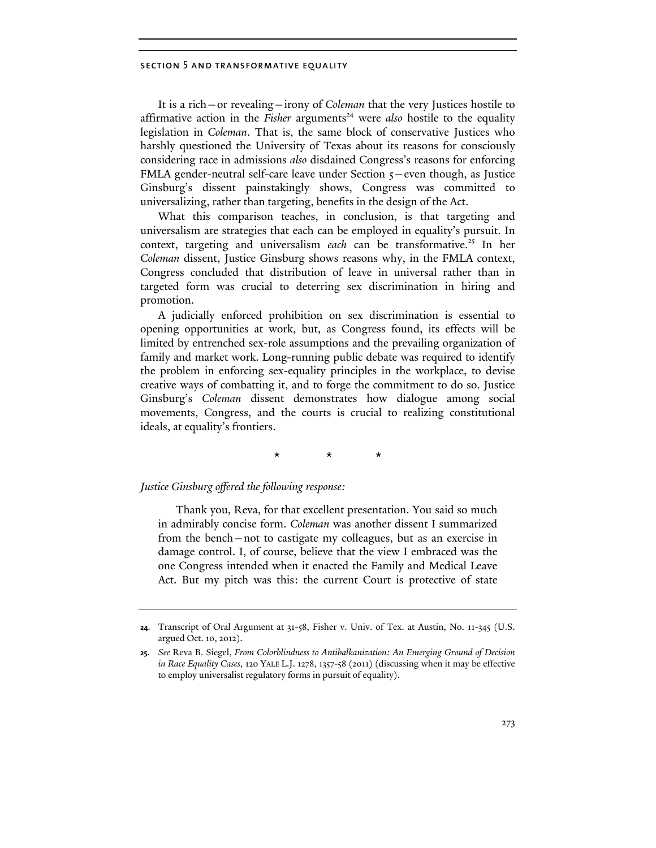### section 5 and transformative equality

It is a rich—or revealing—irony of *Coleman* that the very Justices hostile to affirmative action in the *Fisher* arguments<sup>24</sup> were *also* hostile to the equality legislation in *Coleman*. That is, the same block of conservative Justices who harshly questioned the University of Texas about its reasons for consciously considering race in admissions *also* disdained Congress's reasons for enforcing FMLA gender-neutral self-care leave under Section  $5$ –even though, as Justice Ginsburg's dissent painstakingly shows, Congress was committed to universalizing, rather than targeting, benefits in the design of the Act.

What this comparison teaches, in conclusion, is that targeting and universalism are strategies that each can be employed in equality's pursuit. In context, targeting and universalism *each* can be transformative.<sup>25</sup> In her *Coleman* dissent, Justice Ginsburg shows reasons why, in the FMLA context, Congress concluded that distribution of leave in universal rather than in targeted form was crucial to deterring sex discrimination in hiring and promotion.

A judicially enforced prohibition on sex discrimination is essential to opening opportunities at work, but, as Congress found, its effects will be limited by entrenched sex-role assumptions and the prevailing organization of family and market work. Long-running public debate was required to identify the problem in enforcing sex-equality principles in the workplace, to devise creative ways of combatting it, and to forge the commitment to do so. Justice Ginsburg's *Coleman* dissent demonstrates how dialogue among social movements, Congress, and the courts is crucial to realizing constitutional ideals, at equality's frontiers.

\* \* \*

## *Justice Ginsburg offered the following response:*

Thank you, Reva, for that excellent presentation. You said so much in admirably concise form. *Coleman* was another dissent I summarized from the bench—not to castigate my colleagues, but as an exercise in damage control. I, of course, believe that the view I embraced was the one Congress intended when it enacted the Family and Medical Leave Act. But my pitch was this: the current Court is protective of state

**<sup>24.</sup>** Transcript of Oral Argument at 31-58, Fisher v. Univ. of Tex. at Austin, No. 11-345 (U.S. argued Oct. 10, 2012).

**<sup>25.</sup>** *See* Reva B. Siegel, *From Colorblindness to Antibalkanization: An Emerging Ground of Decision in Race Equality Cases*, 120 YALE L.J. 1278, 1357-58 (2011) (discussing when it may be effective to employ universalist regulatory forms in pursuit of equality).